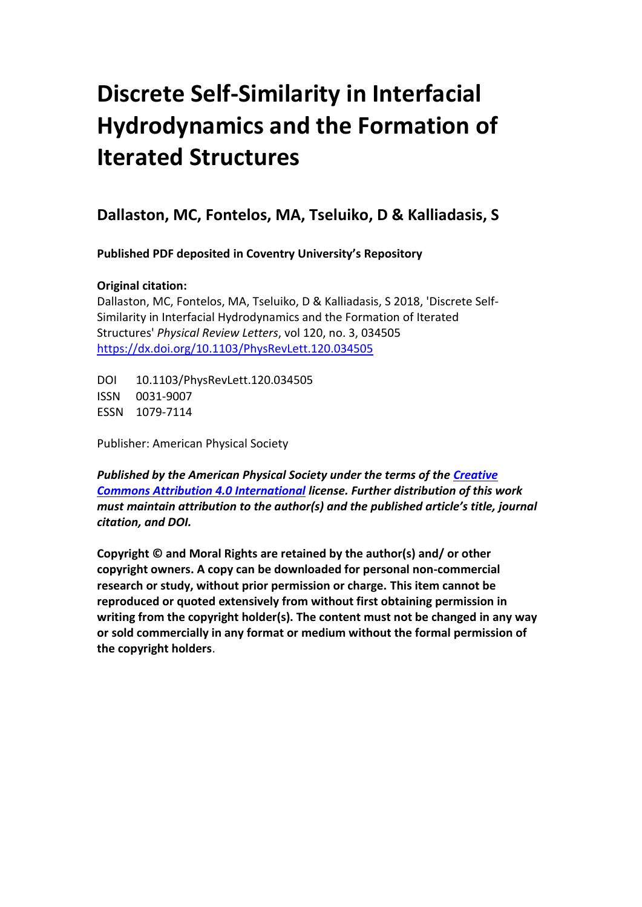## **Discrete Self-Similarity in Interfacial Hydrodynamics and the Formation of Iterated Structures**

## **Dallaston, MC, Fontelos, MA, Tseluiko, D & Kalliadasis, S**

**Published PDF deposited in Coventry University's Repository**

## **Original citation:**

Dallaston, MC, Fontelos, MA, Tseluiko, D & Kalliadasis, S 2018, 'Discrete Self-Similarity in Interfacial Hydrodynamics and the Formation of Iterated Structures' *Physical Review Letters*, vol 120, no. 3, 034505 <https://dx.doi.org/10.1103/PhysRevLett.120.034505>

DOI 10.1103/PhysRevLett.120.034505 ISSN 0031-9007 ESSN 1079-7114

Publisher: American Physical Society

*Published by the American Physical Society under the terms of the [Creative](https://creativecommons.org/licenses/by/4.0/)  [Commons Attribution 4.0 International](https://creativecommons.org/licenses/by/4.0/) license. Further distribution of this work must maintain attribution to the author(s) and the published article's title, journal citation, and DOI.*

**Copyright © and Moral Rights are retained by the author(s) and/ or other copyright owners. A copy can be downloaded for personal non-commercial research or study, without prior permission or charge. This item cannot be reproduced or quoted extensively from without first obtaining permission in writing from the copyright holder(s). The content must not be changed in any way or sold commercially in any format or medium without the formal permission of the copyright holders**.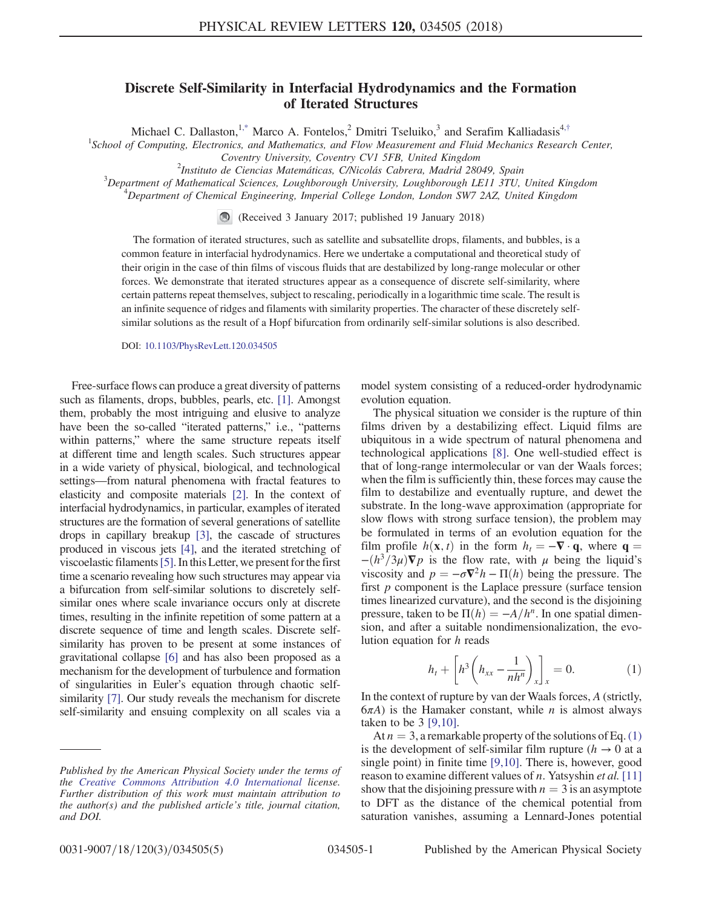## Discrete Self-Similarity in Interfacial Hydrodynamics and the Formation of Iterated Structures

Michael C. Dallaston,<sup>[1,\\*](#page-5-0)</sup> Marco A. Fontelos,<sup>2</sup> Dmitri Tseluiko,<sup>3</sup> and Serafim Kalliadasis<sup>4,[†](#page-5-1)</sup>

<span id="page-1-1"></span><sup>1</sup>School of Computing, Electronics, and Mathematics, and Flow Measurement and Fluid Mechanics Research Center,

Coventry University, Coventry CV1 5FB, United Kingdom <sup>2</sup>

 $^{2}$ Instituto de Ciencias Matemáticas, C/Nicolás Cabrera, Madrid 28049, Spain

 $3$ Department of Mathematical Sciences, Loughborough University, Loughborough LE11 3TU, United Kingdom  $^{4}$ Department of Chemical Engineering, Imperial College London, London SW7 2AZ, United Kingdom

(Received 3 January 2017; published 19 January 2018)

The formation of iterated structures, such as satellite and subsatellite drops, filaments, and bubbles, is a common feature in interfacial hydrodynamics. Here we undertake a computational and theoretical study of their origin in the case of thin films of viscous fluids that are destabilized by long-range molecular or other forces. We demonstrate that iterated structures appear as a consequence of discrete self-similarity, where certain patterns repeat themselves, subject to rescaling, periodically in a logarithmic time scale. The result is an infinite sequence of ridges and filaments with similarity properties. The character of these discretely selfsimilar solutions as the result of a Hopf bifurcation from ordinarily self-similar solutions is also described.

DOI: [10.1103/PhysRevLett.120.034505](https://doi.org/10.1103/PhysRevLett.120.034505)

Free-surface flows can produce a great diversity of patterns such as filaments, drops, bubbles, pearls, etc. [\[1\].](#page-5-2) Amongst them, probably the most intriguing and elusive to analyze have been the so-called "iterated patterns," i.e., "patterns within patterns," where the same structure repeats itself at different time and length scales. Such structures appear in a wide variety of physical, biological, and technological settings—from natural phenomena with fractal features to elasticity and composite materials [\[2\]](#page-5-3). In the context of interfacial hydrodynamics, in particular, examples of iterated structures are the formation of several generations of satellite drops in capillary breakup [\[3\],](#page-5-4) the cascade of structures produced in viscous jets [\[4\]](#page-5-5), and the iterated stretching of viscoelastic filaments[\[5\]](#page-5-6). In this Letter, we present for the first time a scenario revealing how such structures may appear via a bifurcation from self-similar solutions to discretely selfsimilar ones where scale invariance occurs only at discrete times, resulting in the infinite repetition of some pattern at a discrete sequence of time and length scales. Discrete selfsimilarity has proven to be present at some instances of gravitational collapse [\[6\]](#page-5-7) and has also been proposed as a mechanism for the development of turbulence and formation of singularities in Euler's equation through chaotic selfsimilarity [\[7\]](#page-5-8). Our study reveals the mechanism for discrete self-similarity and ensuing complexity on all scales via a model system consisting of a reduced-order hydrodynamic evolution equation.

The physical situation we consider is the rupture of thin films driven by a destabilizing effect. Liquid films are ubiquitous in a wide spectrum of natural phenomena and technological applications [\[8\].](#page-5-9) One well-studied effect is that of long-range intermolecular or van der Waals forces; when the film is sufficiently thin, these forces may cause the film to destabilize and eventually rupture, and dewet the substrate. In the long-wave approximation (appropriate for slow flows with strong surface tension), the problem may be formulated in terms of an evolution equation for the film profile  $h(\mathbf{x}, t)$  in the form  $h_t = -\nabla \cdot \mathbf{q}$ , where  $\mathbf{q} =$  $-(h^3/3\mu)\nabla p$  is the flow rate, with  $\mu$  being the liquid's viscosity and  $p = -\sigma \nabla^2 h - \Pi(h)$  being the pressure. The first  $p$  component is the Laplace pressure (surface tension times linearized curvature), and the second is the disjoining pressure, taken to be  $\Pi(h) = -A/h^n$ . In one spatial dimension, and after a suitable nondimensionalization, the evolution equation for h reads

$$
h_t + \left[ h^3 \left( h_{xx} - \frac{1}{nh^n} \right)_x \right]_x = 0. \tag{1}
$$

<span id="page-1-0"></span>In the context of rupture by van der Waals forces, A (strictly,  $6\pi A$ ) is the Hamaker constant, while *n* is almost always taken to be 3 [\[9,10\]](#page-5-10).

At  $n = 3$ , a remarkable property of the solutions of Eq. [\(1\)](#page-1-0) is the development of self-similar film rupture ( $h \rightarrow 0$  at a single point) in finite time [\[9,10\]](#page-5-10). There is, however, good reason to examine different values of *n*. Yatsyshin *et al.* [\[11\]](#page-5-11) show that the disjoining pressure with  $n = 3$  is an asymptote to DFT as the distance of the chemical potential from saturation vanishes, assuming a Lennard-Jones potential

Published by the American Physical Society under the terms of the [Creative Commons Attribution 4.0 International](https://creativecommons.org/licenses/by/4.0/) license. Further distribution of this work must maintain attribution to the author(s) and the published article's title, journal citation, and DOI.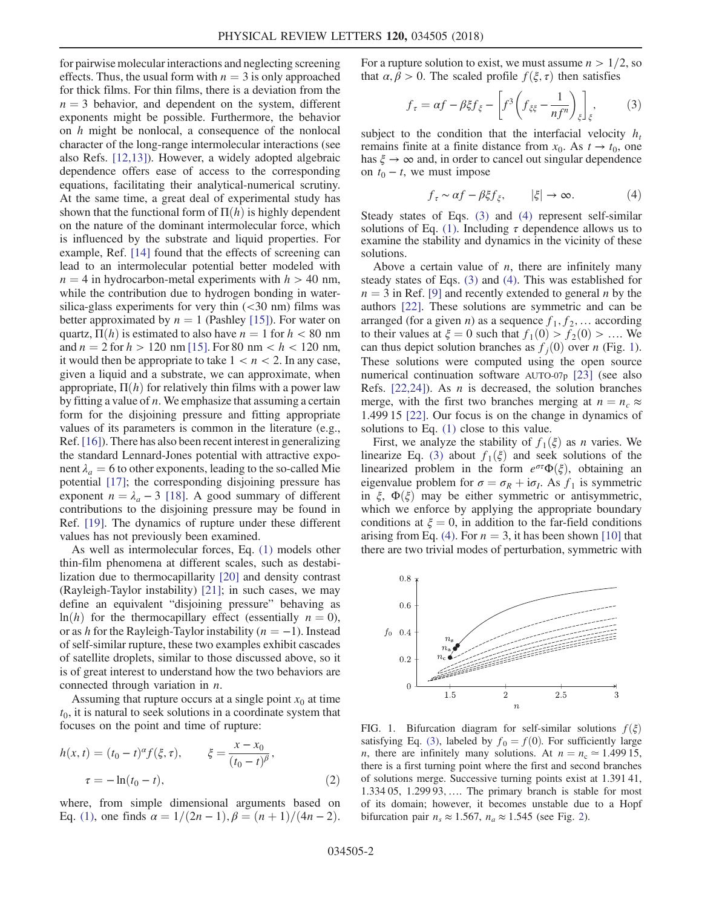for pairwise molecular interactions and neglecting screening effects. Thus, the usual form with  $n = 3$  is only approached for thick films. For thin films, there is a deviation from the  $n = 3$  behavior, and dependent on the system, different exponents might be possible. Furthermore, the behavior on  $h$  might be nonlocal, a consequence of the nonlocal character of the long-range intermolecular interactions (see also Refs. [\[12,13\]](#page-5-12)). However, a widely adopted algebraic dependence offers ease of access to the corresponding equations, facilitating their analytical-numerical scrutiny. At the same time, a great deal of experimental study has shown that the functional form of  $\Pi(h)$  is highly dependent on the nature of the dominant intermolecular force, which is influenced by the substrate and liquid properties. For example, Ref. [\[14\]](#page-5-13) found that the effects of screening can lead to an intermolecular potential better modeled with  $n = 4$  in hydrocarbon-metal experiments with  $h > 40$  nm, while the contribution due to hydrogen bonding in watersilica-glass experiments for very thin  $( $30 \text{ nm}$ )$  films was better approximated by  $n = 1$  (Pashley [\[15\]\)](#page-5-14). For water on quartz,  $\Pi(h)$  is estimated to also have  $n = 1$  for  $h < 80$  nm and  $n = 2$  for  $h > 120 \text{ nm}$  [\[15\].](#page-5-14) For 80 nm <  $h < 120 \text{ nm}$ , it would then be appropriate to take  $1 < n < 2$ . In any case, given a liquid and a substrate, we can approximate, when appropriate,  $\Pi(h)$  for relatively thin films with a power law by fitting a value of  $n$ . We emphasize that assuming a certain form for the disjoining pressure and fitting appropriate values of its parameters is common in the literature (e.g., Ref.[\[16\]](#page-5-15)). There has also been recent interest in generalizing the standard Lennard-Jones potential with attractive exponent  $\lambda_a = 6$  to other exponents, leading to the so-called Mie potential [\[17\];](#page-5-16) the corresponding disjoining pressure has exponent  $n = \lambda_a - 3$  [\[18\].](#page-5-17) A good summary of different contributions to the disjoining pressure may be found in Ref. [\[19\].](#page-5-18) The dynamics of rupture under these different values has not previously been examined.

As well as intermolecular forces, Eq. [\(1\)](#page-1-0) models other thin-film phenomena at different scales, such as destabilization due to thermocapillarity [\[20\]](#page-5-19) and density contrast (Rayleigh-Taylor instability) [\[21\];](#page-5-20) in such cases, we may define an equivalent "disjoining pressure" behaving as  $ln(h)$  for the thermocapillary effect (essentially  $n = 0$ ), or as h for the Rayleigh-Taylor instability ( $n = -1$ ). Instead of self-similar rupture, these two examples exhibit cascades of satellite droplets, similar to those discussed above, so it is of great interest to understand how the two behaviors are connected through variation in  $n$ .

<span id="page-2-3"></span>Assuming that rupture occurs at a single point  $x_0$  at time  $t_0$ , it is natural to seek solutions in a coordinate system that focuses on the point and time of rupture:

$$
h(x,t) = (t_0 - t)^{\alpha} f(\xi, \tau), \qquad \xi = \frac{x - x_0}{(t_0 - t)^{\beta}},
$$
  

$$
\tau = -\ln(t_0 - t), \qquad (2)
$$

where, from simple dimensional arguments based on Eq. [\(1\),](#page-1-0) one finds  $\alpha = 1/(2n - 1), \beta = (n + 1)/(4n - 2)$ . <span id="page-2-0"></span>For a rupture solution to exist, we must assume  $n > 1/2$ , so that  $\alpha, \beta > 0$ . The scaled profile  $f(\xi, \tau)$  then satisfies

$$
f_{\tau} = \alpha f - \beta \xi f_{\xi} - \left[ f^3 \left( f_{\xi \xi} - \frac{1}{nf^n} \right)_{\xi} \right]_{\xi}, \tag{3}
$$

<span id="page-2-1"></span>subject to the condition that the interfacial velocity  $h_t$ remains finite at a finite distance from  $x_0$ . As  $t \to t_0$ , one has  $\xi \to \infty$  and, in order to cancel out singular dependence on  $t_0 - t$ , we must impose

$$
f_{\tau} \sim \alpha f - \beta \xi f_{\xi}, \qquad |\xi| \to \infty. \tag{4}
$$

Steady states of Eqs. [\(3\)](#page-2-0) and [\(4\)](#page-2-1) represent self-similar solutions of Eq. [\(1\)](#page-1-0). Including  $\tau$  dependence allows us to examine the stability and dynamics in the vicinity of these solutions.

Above a certain value of  $n$ , there are infinitely many steady states of Eqs. [\(3\)](#page-2-0) and [\(4\).](#page-2-1) This was established for  $n = 3$  in Ref. [\[9\]](#page-5-10) and recently extended to general *n* by the authors [\[22\]](#page-5-21). These solutions are symmetric and can be arranged (for a given *n*) as a sequence  $f_1, f_2, \ldots$  according to their values at  $\xi = 0$  such that  $f_1(0) > f_2(0) > ...$  We can thus depict solution branches as  $f_i(0)$  over n (Fig. [1](#page-2-2)). These solutions were computed using the open source numerical continuation software AUTO-07p [\[23\]](#page-5-22) (see also Refs.  $[22,24]$ ). As *n* is decreased, the solution branches merge, with the first two branches merging at  $n = n_c \approx$ 1.499 15 [\[22\].](#page-5-21) Our focus is on the change in dynamics of solutions to Eq. [\(1\)](#page-1-0) close to this value.

First, we analyze the stability of  $f_1(\xi)$  as *n* varies. We linearize Eq. [\(3\)](#page-2-0) about  $f_1(\xi)$  and seek solutions of the linearized problem in the form  $e^{\sigma \tau} \Phi(\xi)$ , obtaining an eigenvalue problem for  $\sigma = \sigma_R + i\sigma_I$ . As  $f_1$  is symmetric in  $\xi$ ,  $\Phi(\xi)$  may be either symmetric or antisymmetric, which we enforce by applying the appropriate boundary conditions at  $\xi = 0$ , in addition to the far-field conditions arising from Eq. [\(4\).](#page-2-1) For  $n = 3$ , it has been shown [\[10\]](#page-5-23) that there are two trivial modes of perturbation, symmetric with

<span id="page-2-2"></span>

FIG. 1. Bifurcation diagram for self-similar solutions  $f(\xi)$ satisfying Eq. [\(3\)](#page-2-0), labeled by  $f_0 = f(0)$ . For sufficiently large n, there are infinitely many solutions. At  $n = n_c \approx 1.49915$ , there is a first turning point where the first and second branches of solutions merge. Successive turning points exist at 1.391 41, 1.334 05, 1.299 93; …. The primary branch is stable for most of its domain; however, it becomes unstable due to a Hopf bifurcation pair  $n_s \approx 1.567$ ,  $n_a \approx 1.545$  (see Fig. [2\)](#page-3-0).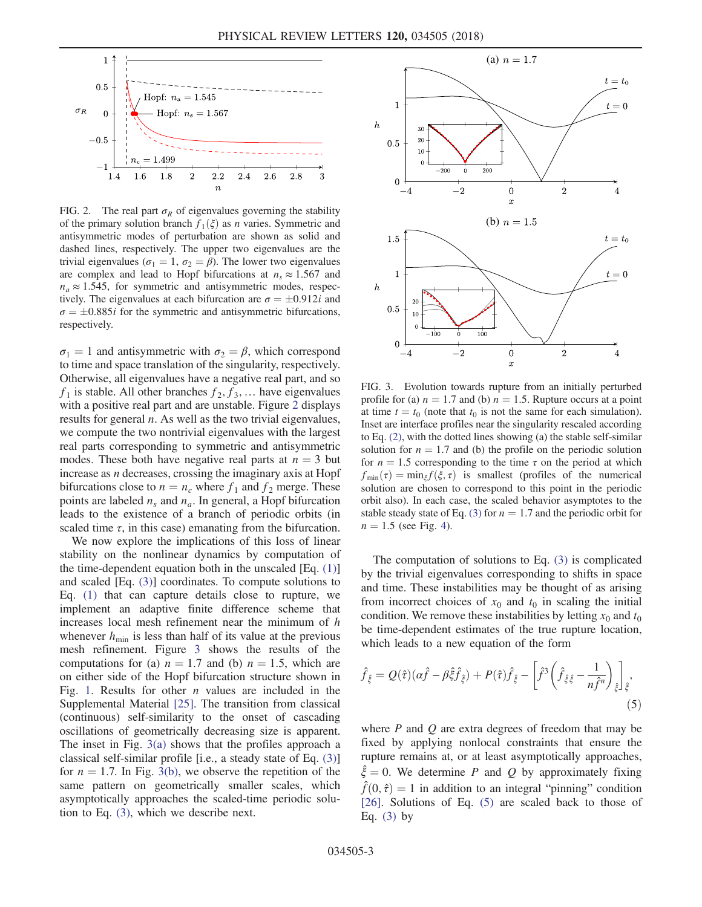<span id="page-3-0"></span>

FIG. 2. The real part  $\sigma_R$  of eigenvalues governing the stability of the primary solution branch  $f_1(\xi)$  as *n* varies. Symmetric and antisymmetric modes of perturbation are shown as solid and dashed lines, respectively. The upper two eigenvalues are the trivial eigenvalues ( $\sigma_1 = 1$ ,  $\sigma_2 = \beta$ ). The lower two eigenvalues are complex and lead to Hopf bifurcations at  $n_s \approx 1.567$  and  $n_a \approx 1.545$ , for symmetric and antisymmetric modes, respectively. The eigenvalues at each bifurcation are  $\sigma = \pm 0.912i$  and  $\sigma = \pm 0.885i$  for the symmetric and antisymmetric bifurcations, respectively.

 $\sigma_1 = 1$  and antisymmetric with  $\sigma_2 = \beta$ , which correspond to time and space translation of the singularity, respectively. Otherwise, all eigenvalues have a negative real part, and so  $f_1$  is stable. All other branches  $f_2, f_3, \ldots$  have eigenvalues with a positive real part and are unstable. Figure [2](#page-3-0) displays results for general  $n$ . As well as the two trivial eigenvalues, we compute the two nontrivial eigenvalues with the largest real parts corresponding to symmetric and antisymmetric modes. These both have negative real parts at  $n = 3$  but increase as n decreases, crossing the imaginary axis at Hopf bifurcations close to  $n = n_c$  where  $f_1$  and  $f_2$  merge. These points are labeled  $n_s$  and  $n_a$ . In general, a Hopf bifurcation leads to the existence of a branch of periodic orbits (in scaled time  $\tau$ , in this case) emanating from the bifurcation.

We now explore the implications of this loss of linear stability on the nonlinear dynamics by computation of the time-dependent equation both in the unscaled  $[Eq. (1)]$  $[Eq. (1)]$ and scaled [Eq. [\(3\)](#page-2-0)] coordinates. To compute solutions to Eq. [\(1\)](#page-1-0) that can capture details close to rupture, we implement an adaptive finite difference scheme that increases local mesh refinement near the minimum of h whenever  $h_{\text{min}}$  is less than half of its value at the previous mesh refinement. Figure [3](#page-3-1) shows the results of the computations for (a)  $n = 1.7$  and (b)  $n = 1.5$ , which are on either side of the Hopf bifurcation structure shown in Fig. [1](#page-2-2). Results for other  $n$  values are included in the Supplemental Material [\[25\].](#page-5-24) The transition from classical (continuous) self-similarity to the onset of cascading oscillations of geometrically decreasing size is apparent. The inset in Fig. [3\(a\)](#page-3-1) shows that the profiles approach a classical self-similar profile [i.e., a steady state of Eq. [\(3\)\]](#page-2-0) for  $n = 1.7$ . In Fig. [3\(b\)](#page-3-1), we observe the repetition of the same pattern on geometrically smaller scales, which asymptotically approaches the scaled-time periodic solution to Eq. [\(3\)](#page-2-0), which we describe next.

<span id="page-3-1"></span>

FIG. 3. Evolution towards rupture from an initially perturbed profile for (a)  $n = 1.7$  and (b)  $n = 1.5$ . Rupture occurs at a point at time  $t = t_0$  (note that  $t_0$  is not the same for each simulation). Inset are interface profiles near the singularity rescaled according to Eq. [\(2\)](#page-2-3), with the dotted lines showing (a) the stable self-similar solution for  $n = 1.7$  and (b) the profile on the periodic solution for  $n = 1.5$  corresponding to the time  $\tau$  on the period at which  $f_{\min}(\tau) = \min_{\xi} f(\xi, \tau)$  is smallest (profiles of the numerical solution are chosen to correspond to this point in the periodic orbit also). In each case, the scaled behavior asymptotes to the stable steady state of Eq. [\(3\)](#page-2-0) for  $n = 1.7$  and the periodic orbit for  $n = 1.5$  (see Fig. [4](#page-4-0)).

The computation of solutions to Eq. [\(3\)](#page-2-0) is complicated by the trivial eigenvalues corresponding to shifts in space and time. These instabilities may be thought of as arising from incorrect choices of  $x_0$  and  $t_0$  in scaling the initial condition. We remove these instabilities by letting  $x_0$  and  $t_0$ be time-dependent estimates of the true rupture location, which leads to a new equation of the form

<span id="page-3-2"></span>
$$
\hat{f}_{\hat{\xi}} = Q(\hat{\tau})(\alpha \hat{f} - \beta \hat{\xi} \hat{f}_{\hat{\xi}}) + P(\hat{\tau}) \hat{f}_{\hat{\xi}} - \left[ \hat{f}^3 \left( \hat{f}_{\hat{\xi}\hat{\xi}} - \frac{1}{n\hat{f}^n} \right)_{\hat{\xi}} \right]_{\hat{\xi}},\tag{5}
$$

<span id="page-3-3"></span>where  $P$  and  $Q$  are extra degrees of freedom that may be fixed by applying nonlocal constraints that ensure the rupture remains at, or at least asymptotically approaches,  $\hat{\xi} = 0$ . We determine P and Q by approximately fixing  $\hat{f}(0, \hat{\tau}) = 1$  in addition to an integral "pinning" condition [\[26\]](#page-5-25). Solutions of Eq. [\(5\)](#page-3-2) are scaled back to those of Eq.  $(3)$  by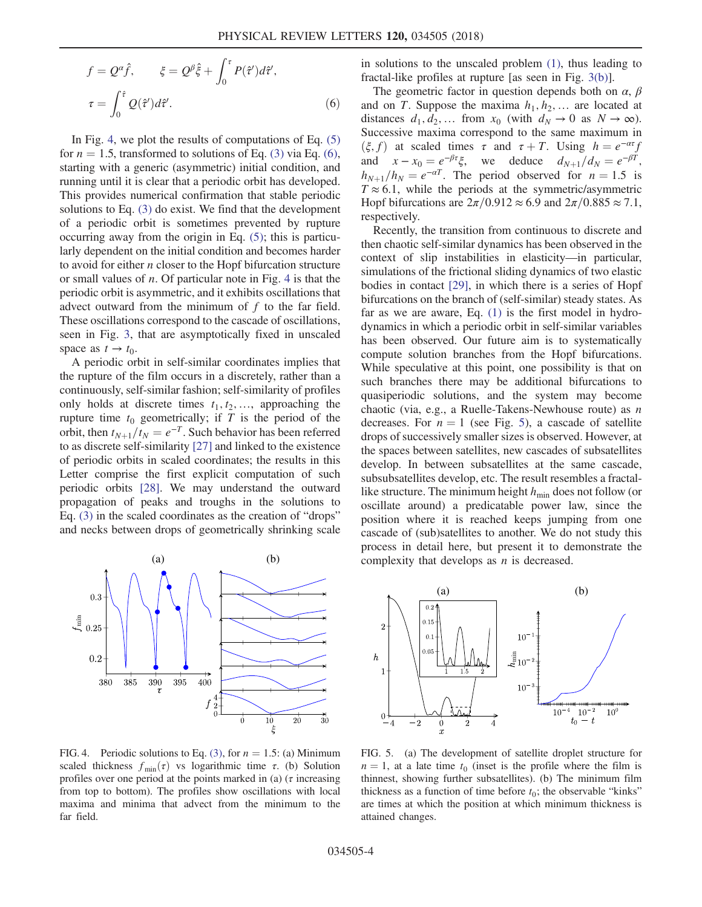$$
f = Q^{\alpha} \hat{f}, \qquad \xi = Q^{\beta} \hat{\xi} + \int_0^{\tau} P(\hat{\tau}') d\hat{\tau}',
$$

$$
\tau = \int_0^{\hat{\tau}} Q(\hat{\tau}') d\hat{\tau}'. \tag{6}
$$

In Fig. [4](#page-4-0), we plot the results of computations of Eq.  $(5)$ for  $n = 1.5$ , transformed to solutions of Eq. [\(3\)](#page-2-0) via Eq. [\(6\)](#page-3-3), starting with a generic (asymmetric) initial condition, and running until it is clear that a periodic orbit has developed. This provides numerical confirmation that stable periodic solutions to Eq. [\(3\)](#page-2-0) do exist. We find that the development of a periodic orbit is sometimes prevented by rupture occurring away from the origin in Eq. [\(5\);](#page-3-2) this is particularly dependent on the initial condition and becomes harder to avoid for either  $n$  closer to the Hopf bifurcation structure or small values of  $n$ . Of particular note in Fig. [4](#page-4-0) is that the periodic orbit is asymmetric, and it exhibits oscillations that advect outward from the minimum of  $f$  to the far field. These oscillations correspond to the cascade of oscillations, seen in Fig. [3](#page-3-1), that are asymptotically fixed in unscaled space as  $t \to t_0$ .

A periodic orbit in self-similar coordinates implies that the rupture of the film occurs in a discretely, rather than a continuously, self-similar fashion; self-similarity of profiles only holds at discrete times  $t_1, t_2, \ldots$ , approaching the rupture time  $t_0$  geometrically; if T is the period of the orbit, then  $t_{N+1}/t_N = e^{-T}$ . Such behavior has been referred to as discrete self-similarity [\[27\]](#page-5-26) and linked to the existence of periodic orbits in scaled coordinates; the results in this Letter comprise the first explicit computation of such periodic orbits [\[28\]](#page-5-27). We may understand the outward propagation of peaks and troughs in the solutions to Eq. [\(3\)](#page-2-0) in the scaled coordinates as the creation of "drops" and necks between drops of geometrically shrinking scale

<span id="page-4-0"></span>

FIG. 4. Periodic solutions to Eq. [\(3\),](#page-2-0) for  $n = 1.5$ : (a) Minimum scaled thickness  $f_{min}(\tau)$  vs logarithmic time  $\tau$ . (b) Solution profiles over one period at the points marked in (a) ( $\tau$  increasing from top to bottom). The profiles show oscillations with local maxima and minima that advect from the minimum to the far field.

in solutions to the unscaled problem [\(1\)](#page-1-0), thus leading to fractal-like profiles at rupture [as seen in Fig. [3\(b\)\]](#page-3-1).

The geometric factor in question depends both on  $\alpha$ ,  $\beta$ and on T. Suppose the maxima  $h_1, h_2, \ldots$  are located at distances  $d_1, d_2, \dots$  from  $x_0$  (with  $d_N \to 0$  as  $N \to \infty$ ). Successive maxima correspond to the same maximum in  $(\xi, f)$  at scaled times  $\tau$  and  $\tau + T$ . Using  $h = e^{-\alpha \tau} f$ and  $x - x_0 = e^{-\beta \tau} \xi$ , we deduce  $d_{N+1}/d_N = e^{-\beta T}$ ,  $h_{N+1}/h_N = e^{-\alpha T}$ . The period observed for  $n = 1.5$  is  $T \approx 6.1$ , while the periods at the symmetric/asymmetric Hopf bifurcations are  $2\pi/0.912 \approx 6.9$  and  $2\pi/0.885 \approx 7.1$ , respectively.

Recently, the transition from continuous to discrete and then chaotic self-similar dynamics has been observed in the context of slip instabilities in elasticity—in particular, simulations of the frictional sliding dynamics of two elastic bodies in contact [\[29\],](#page-5-28) in which there is a series of Hopf bifurcations on the branch of (self-similar) steady states. As far as we are aware, Eq. [\(1\)](#page-1-0) is the first model in hydrodynamics in which a periodic orbit in self-similar variables has been observed. Our future aim is to systematically compute solution branches from the Hopf bifurcations. While speculative at this point, one possibility is that on such branches there may be additional bifurcations to quasiperiodic solutions, and the system may become chaotic (via, e.g., a Ruelle-Takens-Newhouse route) as n decreases. For  $n = 1$  (see Fig. [5](#page-4-1)), a cascade of satellite drops of successively smaller sizes is observed. However, at the spaces between satellites, new cascades of subsatellites develop. In between subsatellites at the same cascade, subsubsatellites develop, etc. The result resembles a fractallike structure. The minimum height  $h_{\min}$  does not follow (or oscillate around) a predicatable power law, since the position where it is reached keeps jumping from one cascade of (sub)satellites to another. We do not study this process in detail here, but present it to demonstrate the (a)  $(b)$  complexity that develops as *n* is decreased.

<span id="page-4-1"></span>

FIG. 5. (a) The development of satellite droplet structure for  $n = 1$ , at a late time  $t_0$  (inset is the profile where the film is thinnest, showing further subsatellites). (b) The minimum film thickness as a function of time before  $t_0$ ; the observable "kinks" are times at which the position at which minimum thickness is attained changes.